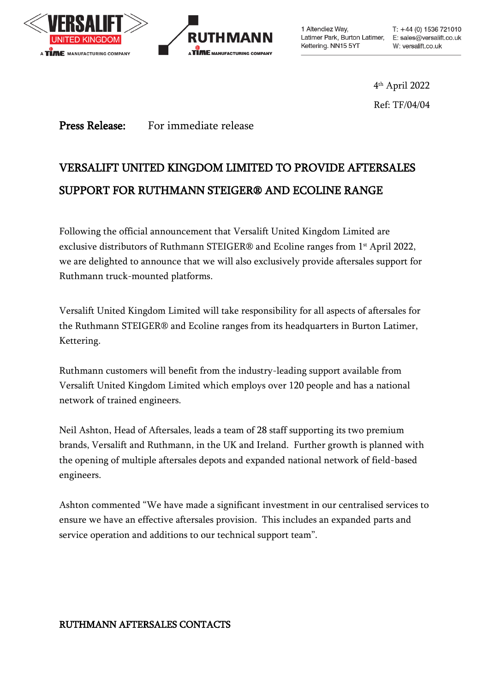



1 Altendiez Way, Latimer Park, Burton Latimer, E: sales@versalift.co.uk Kettering. NN15 5YT

 $T: +44(0)$  1536 721010 W: versalift.co.uk

4 th April 2022 Ref: TF/04/04

Press Release: For immediate release

# VERSALIFT UNITED KINGDOM LIMITED TO PROVIDE AFTERSALES SUPPORT FOR RUTHMANN STEIGER® AND ECOLINE RANGE

Following the official announcement that Versalift United Kingdom Limited are exclusive distributors of Ruthmann STEIGER® and Ecoline ranges from 1 st April 2022, we are delighted to announce that we will also exclusively provide aftersales support for Ruthmann truck-mounted platforms.

Versalift United Kingdom Limited will take responsibility for all aspects of aftersales for the Ruthmann STEIGER® and Ecoline ranges from its headquarters in Burton Latimer, Kettering.

Ruthmann customers will benefit from the industry-leading support available from Versalift United Kingdom Limited which employs over 120 people and has a national network of trained engineers.

Neil Ashton, Head of Aftersales, leads a team of 28 staff supporting its two premium brands, Versalift and Ruthmann, in the UK and Ireland. Further growth is planned with the opening of multiple aftersales depots and expanded national network of field-based engineers.

Ashton commented "We have made a significant investment in our centralised services to ensure we have an effective aftersales provision. This includes an expanded parts and service operation and additions to our technical support team".

#### RUTHMANN AFTERSALES CONTACTS